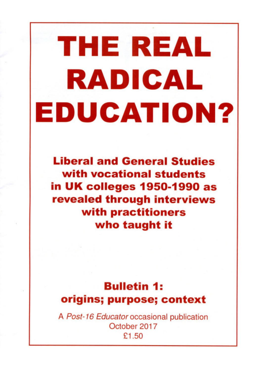# THE REAL RADICAL EDUCATION?

**Liberal and General Studies** with vocational students in UK colleges 1950-1990 as revealed through interviews with practitioners who taught it

## **Bulletin 1:** origins; purpose; context

A Post-16 Educator occasional publication October 2017 £1.50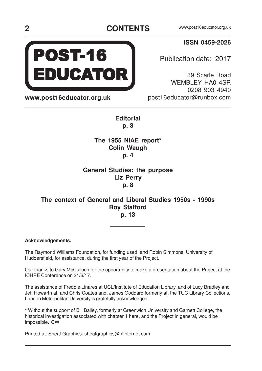### **CONTENTS** www.post16educator.org.uk **2**

#### **ISSN 0459-2026**

Publication date: 2017

39 Scarle Road WEMBLEY HA0 4SR 0208 903 4940 post16educator@runbox.com

**Editorial p. 3**

#### **The 1955 NIAE report\* Colin Waugh p. 4**

### **General Studies: the purpose Liz Perry p. 8**

#### **The context of General and Liberal Studies 1950s - 1990s Roy Stafford p. 13**

#### **Acknowledgements:**

The Raymond Williams Foundation, for funding used, and Robin Simmons, University of Huddersfield, for assistance, during the first year of the Project.

Our thanks to Gary McCulloch for the opportunity to make a presentation about the Project at the ICHRE Conference on 21/6/17.

The assistance of Freddie Linares at UCL/Institute of Education Library, and of Lucy Bradley and Jeff Howarth at, and Chris Coates and, James Goddard formerly at, the TUC Library Collections, London Metropolitan University is gratefully acknowledged.

\* Without the support of Bill Bailey, formerly at Greenwich University and Garnett College, the historical investigation associated with chapter 1 here, and the Project in general, would be impossible. CW

Printed at: Sheaf Graphics: sheafgraphics@btinternet.com



**www.post16educator.org.uk**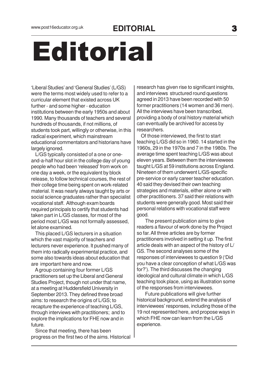# Editorial

'Liberal Studies' and 'General Studies' (L/GS) were the terms most widely used to refer to a curricular element that existed across UK further - and some higher - education institutions between the early 1950s and about 1990. Many thousands of teachers and several hundreds of thousands, if not millions, of students took part, willingly or otherwise, in this radical experiment, which mainstream educational commentators and historians have largely ignored.

 L/GS typically consisted of a one or oneand-a-half hour slot in the college day of young people who had been 'released' from work on one day a week, or the equivalent by block release, to follow technical courses, the rest of their college time being spent on work-related material. It was nearly always taught by arts or social science graduates rather than specialist vocational staff. Although exam boards required principals to certify that students had taken part in L/GS classes, for most of the period most L/GS was not formally assessed, let alone examined.

 This placed L/GS lecturers in a situation which the vast majority of teachers and lecturers never experience. It pushed many of them into radically experimental practice, and some also towards ideas about education that are important here and now.

 A group containing four former L/GS practitioners set up the Liberal and General Studies Project, though not under that name, at a meeting at Huddersfield University in September 2013. They defined three broad aims: to research the origins of L/GS; to recapture the experience of teaching L/GS, through interviews with practitioners; and to explore the implications for FHE now and in future.

 Since that meeting, there has been progress on the first two of the aims. Historical

research has given rise to significant insights, and interviews structured round questions agreed in 2013 have been recorded with 50 former practitioners (14 women and 36 men). All the interviews have been transcribed, providing a body of oral history material which can eventually be archived for access by researchers.

 Of those interviewed, the first to start teaching L/GS did so in 1960. 14 started in the 1960s, 29 in the 1970s and 7 in the 1980s. The average time spent teaching L/GS was about eleven years. Between them the interviewees taught L/GS at 59 institutions across England. Nineteen of them underwent L/GS-specific pre-service or early career teacher education. 40 said they devised their own teaching strategies and materials, either alone or with other practitioners. 37 said their relations with students were generally good. Most said their personal relations with vocational staff were good.

 The present publication aims to give readers a flavour of work done by the Project so far. All three articles are by former practitioners involved in setting it up. The first article deals with an aspect of the history of L/ GS. The second analyses some of the responses of interviewees to question 9 ('Did you have a clear conception of what L/GS was for?'). The third discusses the changing ideological and cultural climate in which L/GS teaching took place, using as illustration some of the responses from interviewees.

 Future publications will give further historical background, extend the analysis of interviewees' responses, including those of the 19 not represented here, and propose ways in which FHE now can learn from the L/GS experience.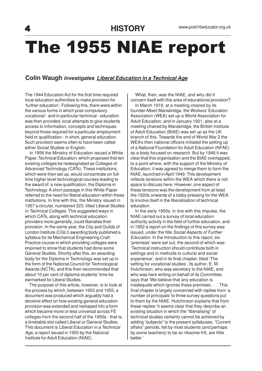# The 1955 NIAE report

#### **Colin Waugh investigates Liberal Education in a Technical Age**

The 1944 Education Act for the first time required local education authorities to make provision for 'further education'. Following this, there were within the various forms in which post-compulsory vocational - and in particular technical - education was then provided, local attempts to give students access to information, concepts and techniques beyond those required for a particular employment field or qualification - in short, general education. Such provision seems often to have been called either Social Studies or English.

 In 1956 the Ministry of Education issued a White Paper, Technical Education, which proposed that ten existing colleges be redesignated as Colleges of Advanced Technology (CATs). These institutions, which were then set up, would concentrate on fulltime higher level technological courses leading to the award of a new qualification, the Diploma in Technology. A short passage in this White Paper referred to the need for liberal education within these institutions. In line with this, the Ministry issued in 1957 a circular, numbered 323, titled Liberal Studies in Technical Colleges. This suggested ways in which CATs, along with technical education providers more generally, could liberalise their provision. In the same year, the City and Guilds of London Institute (CGLI) awarding body published a syllabus for its Mechanical Engineering Craft Practice course in which providing colleges were enjoined to show that students had done some General Studies. Shortly after this, an awarding body for the Diploma in Technology was set up in the form of the National Council for Technological Awards (NCTA), and this then recommended that about 10 per cent of diploma students' time be earmarked for Liberal Studies.

 The purpose of this article, however, is to look at the process by which, between 1953 and 1955, a document was produced which arguably had a decisive effect on how existing general education provision was extended and reshaped into a form which became more or less universal across FE colleges from the second half of the 1950s - that is, a timetable slot called Liberal or General Studies. This document is Liberal Education in a Technical Age, a report issued in 1955 by the National Institute for Adult Education (NIAE).

 What, then, was the NIAE, and why did it concern itself with this area of educational provision?

 In March 1919, at a meeting chaired by its founder Albert Mansbridge, the Workers' Education Association (WEA) set up a World Association for Adult Education, and in January 1921, also at a meeting chaired by Mansbridge, the British Institute of Adult Education (BIAE) was set up as the UK branch of this. Towards the end of World War 2 the WEA's then national officers initiated the setting up of a National Foundation for Adult Education (NFAE) as a body focused on research. But by 1948 it was clear that this organisation and the BIAE overlapped, to a point where, with the support of the Ministry of Education, it was agreed to merge them to form the NIAE, launched in April 1949. This development reflects tensions within the WEA which there is not space to discuss here. However, one aspect of these tensions was the development from at least the 1920s onwards of a lobby pressing for the WEA to involve itself in the liberalisation of technical education.

 In the early 1950s, in line with this impulse, the NIAE carried out a survey of local education authority activity in the field of further education, and in 1952 a report on the findings of this survey was issued, under the title Social Aspects of Further Education. In the Introduction to this report, six 'premises' were set out, the second of which was: 'Technical instruction should contribute both in settings and in methods to cultural and social experience', and in its final chapter, titled 'The setting for vocational studies', its author, E. M. Hutchinson, who was secretary to the NIAE, and who was here writing on behalf of its Committee, says that 'We believe that any education is inadequate which ignores these premises . . .' This final chapter is largely concerned with replies from 'a number of principals' to three survey questions put to them by the NIAE. Hutchinson explains that from these replies 'it seems clear that they describe an existing situation in which the "liberalising" of technical studies certainly cannot be achieved by adding "subjects" to the present syllabuses. "Current affairs" periods, felt by most students (and perhaps by some teachers) to be an irksome frill, are little better.'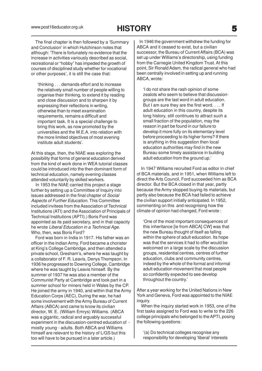The final chapter is then followed by a 'Summary and Conclusion' in which Hutchinson notes that although: 'There is fortunately no evidence that the increase in activities variously described as social, recreational or "hobby" has impeded the growth of courses of disciplined study whether for vocational or other purposes', it is still the case that:

'thinking . . . demands effort and to increase the relatively small number of people willing to organise their thinking, to extend it by reading and close discussion and to sharpen it by expressing their reflections in writing, otherwise than to meet examination requirements, remains a difficult and important task. It is a special challenge to bring this work, as now promoted by the universities and the W.E.A. into relation with the more limited objectives of most evening institute adult students'.

At this stage, then, the NIAE was exploring the possibility that forms of general education derived from the kind of work done in WEA tutorial classes could be introduced into the then dominant form of technical education, namely evening classes attended voluntarily by skilled workers.

 In 1953 the NIAE carried this project a stage further by setting up a Committee of Inquiry into issues addressed in the final chapter of Social Aspects of Further Education. This Committee included invitees from the Association of Technical Institutions (ATI) and the Association of Principals of Technical Institutions (APTI).) Boris Ford was appointed as its paid secretary, and in that capacity he wrote Liberal Education in a Technical Age. Who, then, was Boris Ford?

 Ford was born in India in 1917. His father was an officer in the Indian Army. Ford became a chorister at King's College Cambridge, and then attended a private school, Gresham's, where he was taught by a collaborator of F. R. Leavis, Denys Thompson. In 1936 he progressed to Downing College, Cambridge where he was taught by Leavis himself. By the summer of 1937 he was also a member of the Communist Party at Cambridge and took part in a summer school for miners held in Wales by the CP. He joined the army in 1940, and within that the Army Education Corps (AEC), During the war, he had some involvement with the Army Bureau of Current Affairs (ABCA) and came to know its civilian director, W. E. (William Emrys) Williams. (ABCA was a gigantic, radical and arguably successful experiment in the discussion-centred education of mostly young - adults. Both ABCA and Williams himself are relevant to the history of L/GS but this too will have to be pursued in a later article.)

 In 1946 the government withdrew the funding for ABCA and it ceased to exist, but a civilian successor, the Bureau of Current Affairs (BCA) was set up under Williams's directorship, using funding from the Carnegie United Kingdom Trust. At this point, Sir Ronald Adam, the radical general who had been centrally involved in setting up and running ABCA, wrote:

'I do not share the rash opinion of some zealots who seem to believe that discussiongroups are the last word in adult education. But I am sure they are the first word. . . . If adult education in this country, despite its long history, still continues to attract such a small fraction of the population, may the reason in part be found in our failure to develop it more fully on its elementary level before proceeding to its higher forms? If there is anything in this suggestion then local education authorities may find in the new Bureau some timely assistance in building adult education from the ground up.'

 In 1947 Williams recruited Ford as editor in chief of BCA materials, and in 1951, when Williams left to direct the Arts Council, Ford succeeded him as BCA director. But the BCA closed in that year, partly because the Army stopped buying its materials, but partly also because the BCA had failed to achieve the civilian support initially anticipated. In 1952, commenting on this and recognising how the climate of opinion had changed, Ford wrote :

'One of the most important consequences of this inheritance [ie from ABCA] CW] was that the new Bureau thought of itself as falling within the sphere of adult education. Its hope was that the services it had to offer would be welcomed on a large scale by the discussion groups, residential centres, centres of further education, clubs and community centres, indeed by the whole of the formal and informal adult education movement that most people so confidently expected to see develop throughout the country.'

After a year working for the United Nations in New York and Geneva, Ford was appointed to the NIAE inquiry.

 When the inquiry started work in 1953, one of the first tasks assigned to Ford was to write to the 226 college principals who belonged to the APTI, posing the following questions:

'(a) Do technical colleges recognise any responsibility for developing 'liberal' interests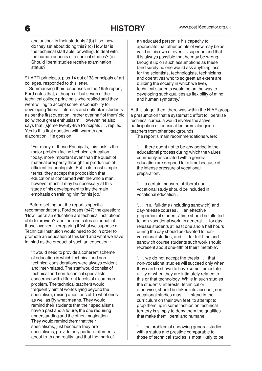## 6 **HISTORY**

and outlook in their students? (b) If so, how do they set about doing this? (c) How far is the technical staff able, or willing, to deal with the human aspects of technical studies? (d) Should liberal studies receive examination status?'

91 APTI principals, plus 14 out of 33 principals of art colleges, responded to this letter.

 Summarising their responses in the 1955 report, Ford notes that, although all but seven of the technical college principals who replied said they were willing to accept some responsibility for developing 'liberal' interests and outlook in students as per the first question, 'rather over half of them' did so 'without great enthusiasm'. However, he also says that '[s]ome twenty-five Principals . . . replied Yes to this first question with warmth and elaboration'. He goes on:

'For many of these Principals, this task is the major problem facing technical education today, more important even than the quest of material prosperity through the production of efficient technologists. Put in its most simple terms, they accept the proposition that education is concerned with the whole man, however much it may be necessary at this stage of his development to lay the main emphasis on training him for his job.'

 Before setting out the report's specific recommendations, Ford poses (p47) the question: 'How liberal an education are technical institutions able to provide?' and then indicates on behalf of those involved in preparing it 'what we suppose a Technical Institution would need to do in order to promote an education of this kind and what we have in mind as the product of such an education':

'It would need to provide a coherent scheme of education in which technical and nontechnical considerations were always evident and inter-related. The staff would consist of technical and non-technical specialists, concerned with different facets of a common problem. The technical teachers would frequently hint at worlds lying beyond the specialism, raising questions of To what ends as well as By what means. They would remind their students that their specialisms have a past and a future, the one requiring understanding and the other imagination. They would remind them that their specialisms, just because they are specialisms, provide only partial statements about truth and reality; and that the mark of

an educated person is his capacity to appreciate that other points of view may be as valid as his own or even its superior, and that it is always possible that he may be wrong. Brought up on such assumptions as these (and surely no one would ask anything less for the scientists, technologists, technicians and operatives who to so great an extent are building the society in which we live), technical students would be on the way to developing such qualities as flexibility of mind and human sympathy.'

At this stage, then, there was within the NIAE group a presumption that a systematic effort to liberalise technical curricula would involve the active participation of technical lecturers alongside teachers from other backgrounds.

The report's main recommendations were:

'. . . there ought not to be any period in the educational process during which the values commonly associated with a general education are dropped for a time because of the intense pressure of vocational preparation'.

'. . . a certain measure of liberal nonvocational study should be included in vocational education'.

'. . . in all full-time (including sandwich) and day-release courses . . . an effective proportion of students' time should be allotted to non-vocational work. In general . . . for dayrelease students at least one and a half hours during the day should be devoted to nonvocational studies, and . . . for full-time and sandwich course students such work should represent about one-fifth of their timetable'.

'. . . we do not accept the thesis . . . that non-vocational studies will succeed only when they can be shown to have some immediate utility or when they are intimately related to this or that technology. While in such studies the students' interests, technical or otherwise, should be taken into account, nonvocational studies must . . . stand in the curriculum on their own feet; to attempt to prop them up in some fashion on technical territory is simply to deny them the qualities that make them liberal and humane'.

'. . . the problem of endowing general studies with a status and prestige comparable to those of technical studies is most likely to be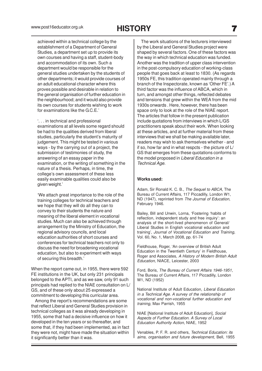## **HISTORY**

achieved within a technical college by the establishment of a Department of General Studies, a department set up to provide its own courses and having a staff, student-body and accommodation of its own. Such a department would be responsible for the general studies undertaken by the students of other departments; it would provide courses of an adult educational character where this proves possible and desirable in relation to the general organisation of further education in the neighbourhood; and it would also provide its own courses for students wishing to work for examinations like the G.C.E.'

'. . . in technical and professional examinations at all levels some regard should be had to the qualities derived from liberal studies, particularly the student's maturity of judgement. This might be tested in various ways - by the carrying out of a project, the submission of testimonies of study, the answering of an essay paper in the examination, or the writing of something in the nature of a thesis. Perhaps, in time, the college's own assessment of these less easily examinable qualities could also be given weight.'

'We attach great importance to the role of the training colleges for technical teachers and we hope that they will do all they can to convey to their students the nature and meaning of the liberal element in vocational studies. Much can also be achieved through arrangement by the Ministry of Education, the regional advisory councils, and local education authorities of short courses and conferences for technical teachers not only to discuss the need for broadening vocational education, but also to experiment with ways of securing this breadth.'

When the report came out, in 1955, there were 592 FE institutions in the UK, but only 231 principals belonged to the APTI, and as we saw, only 91 such principals had replied to the NIAE consultation on L/ GS, and of these only about 25 expressed a commitment to developing this curricular area.

 Among the report's recommendations are some that reflect Liberal and General Studies provision in technical colleges as it was already developing in 1955, some that had a decisive influence on how it developed in the ten years or so thereafter, and some that, if they had been implemented, as in fact they were not, might have made the situation within it significantly better than it was.

 The work situations of the lecturers interviewed by the Liberal and General Studies project were shaped by several factors. One of these factors was the way in which technical education was funded. Another was the tradition of upper class intervention in the post-compulsory education of working-class people that goes back at least to 1830. (As regards 1950s FE, this tradition operated mainly through a branch of the Inspectorate, known as 'Other FE'.) A third factor was the influence of ABCA, which in turn, and amongst other things, reflected debates and tensions that grew within the WEA from the mid 1930s onwards . Here, however, there has been space only to look at the role of the NIAE report. The articles that follow in the present publication include quotations from interviews in which L/GS practitioners speak about their work. When looking at these articles, and at further material from these interviews that we shall be making available later, readers may wish to ask themselves whether - and if so, how far and in what respcts - the picture of L/ GS that emerges from these quotations conforms to the model proposed in Liberal Education in a Technical Age.

#### **Works used:**

Adam, Sir Ronald K. C. B., The Sequel to ABCA, The Bureau of Current Affairs, 117 Piccadilly, London W1, ND (1947), reprinted from The Journal of Education, February 1946.

Bailey, Bill and Unwin, Lorna, 'Fostering 'habits of reflection, independent study and free inquiry': an analysis of the short-lived phenomenon of General/ Liberal Studies in English vocational education and training', Journal of Vocational Education and Training, Vol. 60, No. 1, March 2008, pp. 61-74

Fieldhouse, Roger, 'An overview of British Adult Education in the Twentieth Century' in Fieldhouse, Roger and Associates, A History of Modern British Adult Education, NIACE, Leicester, 2003

Ford, Boris, The Bureau of Current Affairs 1946-1951, The Bureau of Current Affairs, 117 Piccadilly, London W1, ND (1952)

National Institute of Adult Education, Liberal Education in a Technical Age. A survey of the relationship of vocational and non-vocational further education and training, Max Parrish, 1955

NIAE [National Institute of Adult Education], Social Aspects of Further Education. A Survey of Local Education Authority Action, NIAE, 1952

Venables, P. F. R. and others, Technical Education: its aims, organisation and future development, Bell, 1955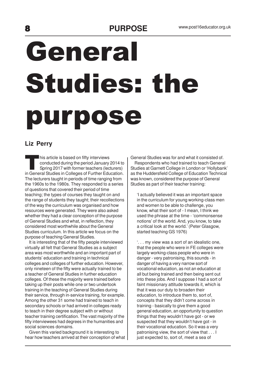#### PURPOSE www.post16educator.org.uk

# General Studies: the purpose

#### **Liz Perry**

his article is based on fifty interviews<br>
conducted during the period January 2014 to<br>
Spring 2017 with former teachers (lecturers)<br>
in General Studies in Colleges of Further Education. his article is based on fifty interviews conducted during the period January 2014 to Spring 2017 with former teachers (lecturers) The lecturers taught in periods of time ranging from the 1960s to the 1980s. They responded to a series of questions that covered their period of time teaching; the types of courses they taught on and the range of students they taught; their recollections of the way the curriculum was organised and how resources were generated. They were also asked whether they had a clear conception of the purpose of General Studies and what, in reflection, they considered most worthwhile about the General Studies curriculum. In this article we focus on the purpose of teaching General Studies.

 It is interesting that of the fifty people interviewed virtually all felt that General Studies as a subject area was most worthwhile and an important part of students' education and training in technical colleges and colleges of further education. However, only nineteen of the fifty were actually trained to be a teacher of General Studies in further education colleges. Of these the majority were trained before taking up their posts while one or two undertook training in the teaching of General Studies during their service, through in-service training, for example. Among the other 31 some had trained to teach in secondary schools or had arrived in colleges ready to teach in their degree subject with or without teacher training certification. The vast majority of the fifty interviewees had degrees in the humanities and social sciences domains.

 Given this varied background it is interesting to hear how teachers arrived at their conception of what General Studies was for and what it consisted of. Respondents who had trained to teach General Studies at Garnett College in London or 'Hollybank' as the Huddersfield College of Education Technical was known, considered the purpose of General Studies as part of their teacher training:

'I actually believed it was an important space in the curriculum for young working-class men and women to be able to challenge, you know, what their sort of - I mean, I think we used the phrase at the time - 'commonsense notions' of the world. And, you know, to take a critical look at the world.' (Peter Glasgow, started teaching GS 1976)

'. . . my view was a sort of an idealistic one, that the people who were in FE colleges were largely working-class people who were in danger - very patronising, this sounds - in danger of having a very narrow sort of vocational education, as not an education at all but being trained and then being sent out into these jobs. And I suppose I had a sort of faint missionary attitude towards it, which is that it was our duty to broaden their education, to introduce them to, sort of, concepts that they didn't come across in training - basically to give them a good general education, an opportunity to question things that they wouldn't have got - or we suspected that they wouldn't have got - in their vocational education. So it was a very patronising view, the sort of view that . . . I just expected to, sort of, meet a sea of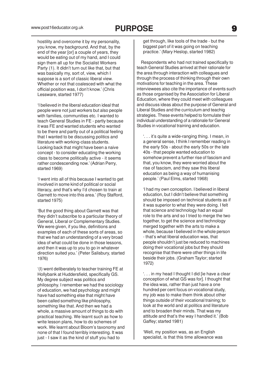hostility and overcome it by my personality, you know, my background. And that, by the end of the year [or] a couple of years, they would be eating out of my hand, and I could sign them all up for the Socialist Workers Party (1). It didn't turn out like that, but that was basically my, sort of, view, which I suppose is a sort of classic liberal view. Whether or not that coalesced with what the official position was, I don't know.' (Chris Lessware, started 1977)

'I believed in the liberal education ideal that people were not just workers but also people with families, communities etc. I wanted to teach General Studies in FE - partly because it was FE and wanted students who wanted to be there and partly out of a political feeling that I wanted to be discussing politics and literature with working-class students. Looking back that might have been a naive concept - to consider educating the working class to become politically active - it seems rather condescending now.' (Adrian Perry, started 1969)

'I went into all of this because I wanted to get involved in some kind of political or social literacy, and that's why I'd chosen to train at Garnett to move into this area.' (Roy Stafford, started 1975)

'But the good thing about Garnett was that they didn't subscribe to a particular theory of General, Liberal or Complementary Studies. We were given, if you like, definitions and examples of each of these sorts of areas, so that we had an understanding of a very broad idea of what could be done in those lessons, and then it was up to you to go in whatever direction suited you.' (Peter Salisbury, started 1976)

'(I) went deliberately to teacher training FE at Hollybank at Huddersfield, specifically GS. My degree subject was politics and philosophy. I remember we had the sociology of education, we had psychology and might have had something else that might have been called something like philosophy, something like that. And then we had a whole, a massive amount of things to do with practical teaching. We learnt such as how to write lesson plans, how to do schemes of work. We learnt about Bloom's taxonomy and none of that I found terribly interesting. It was just - I saw it as the kind of stuff you had to

get through, like tools of the trade - but the biggest part of it was going on teaching practice.' (Mary Heslop, started 1982)

 Respondents who had not trained specifically to teach General Studies arrived at their rationale for the area through interaction with colleagues and through the process of thinking through their own motivations for teaching in the area. These interviewees also cite the importance of events such as those organised by the Association for Liberal Education, where they could meet with colleagues and discuss ideas about the purpose of General and Liberal Studies and the curriculum and teachig strategies. These events helped to formulate their individual understanding of a rationale for General Studies in vocational training and education.

'. . . it's quite a wide-ranging thing. I mean, in a general sense, I think I remember reading in the early 50s - about the early 50s or the late 40s - that people wanted education to somehow prevent a further rise of fascism and that, you know, they were worried about the rise of fascism, and they saw this liberal education as being a way of humanising people.' (Paul Elms, started 1968)

'I had my own conception. I believed in liberal education, but I didn't believe that something should be imposed on technical students as if it was superior to what they were doing. I felt that science and technology had an equal role to the arts and so I tried to merge the two together, to get the science and technology merged together with the arts to make a whole, because I believed in the whole person - that's what liberal education was, that people shouldn't just be reduced to machines doing their vocational jobs but they should recognise that there were other things in life beside their jobs. (Graham Taylor; started 1972)

'. . . in my head I thought I did [ie have a clear conception of what GS was for]. I thought that the idea was, rather than just have a one hundred per cent focus on vocational study, my job was to make them think about other things outside of their vocational training; to look at the world and at politics and literature and to broaden their minds. That was my attitude and that's the way I handled it.' (Bob Gaffey; started 1981)

'Well, my position was, as an English specialist, is that this time allowance was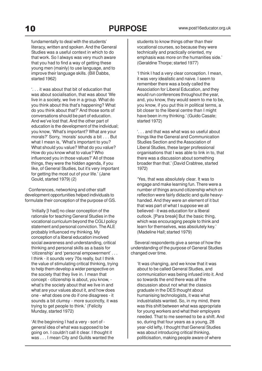fundamentally to deal with the students' literacy, written and spoken. And the General Studies was a useful context in which to do that work. So I always was very much aware that you had to find a way of getting these young men (mainly) to use language, and to improve their language skills. (Bill Dabbs, started 1962)

'. . . it was about that bit of education that was about socialisation, that was about 'We live in a society, we live in a group. What do you think about this that's happening? What do you think about that?' And those sorts of conversations should be part of education. And we've lost that. And the other part of education is the development of the individual; you know, 'What's important? What are your morals?' Sorry, 'morals' sounds a bit . . . But what I mean is, 'What's important to you? What should you value? What do you value? How do you know what to value? Who influenced you in those values?'All of those things, they were the hidden agenda, if you like, of General Studies, but it's very important for getting the most out of your life.' (Jane Gould, started 1979) (2)

 Conferences, networking and other staff development opportunities helped individuals to formulate their conception of the purpose of GS.

'Initially [I had] no clear conception of the rationale for teaching General Studies in the vocational curriculum beyond the CGLI policy statement and personal conviction. The ALE probably influenced my thinking. My conception of a liberal education involved social awareness and understanding, critical thinking and personal skills as a basis for 'citizenship' and 'personal empowerment' . . . I think - it sounds very 70s really, but I think the value of stimulating critical thinking, trying to help them develop a wider perspective on the society that they live in. I mean that concept - citizenship is about, you know, what's the society about that we live in and what are your values about it, and how does one - what does one do if one disagrees - it sounds a bit clumsy - more succinctly, it was trying to get people to think.' (Felicity Munday, started 1972)

'At the beginning I had a very - sort of general idea of what was supposed to be going on. I couldn't call it clear. I thought it was . . . I mean City and Guilds wanted the students to know things other than their vocational courses, so because they were technically and practically oriented, my emphasis was more on the humanities side.' (Geraldine Thorpe; started 1977)

'I think I had a very clear conception. I mean, it was very idealistic and naive. I seem to remember there was a body called the Association for Liberal Education, and they would run conferences throughout the year, and, you know, they would seem to me to be, you know, if you put this in political terms, a bit closer to the liberal centre than I might have been in my thinking.' (Guido Casale; started 1972)

'. . . and that was what was so useful about things like the General and Communication Studies Section and the Association of Liberal Studies, these larger professional organisations that I was able to link in to, that there was a discussion about something broader than that.' (David Crabtree, started 1972)

'Yes, that was absolutely clear. It was to engage and make learning fun. There were a number of things around citizenship which on reflection were fairly didactic and quite heavyhanded. And they were an element of it but that was part of what I suppose we all believed - it was education for a liberal outlook. [Para break] But the basic thing, which was encouraging people to think and learn for themselves, was absolutely key.' (Madeline Hall; started 1979)

 Several respondents give a sense of how the understanding of the purpose of General Studies changed over time.

'It was changing, and we know that it was about to be called General Studies, and communication was being infused into it. And so towards the end there was all the discussion about not what the classics graduate in the DES thought about humanising technologists, it was what industrialists wanted. So, in my mind, there was this shift between what was appropriate for young workers and what their employers needed. That to me seemed to be a shift. And so, during that four years as a young, 28 year-old lefty, I thought that General Studies was about introducing critical thinking, politicisation, making people aware of where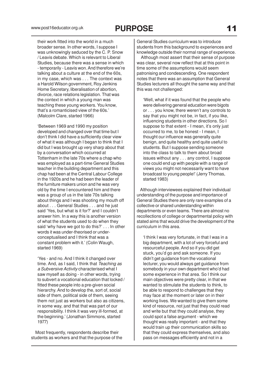their work fitted into the world in a much broader sense. In other words, I suppose I was unknowingly seduced by the C. P. Snow / Leavis debate. Which is relevant to Liberal Studies, because there was a sense in which - temporarily - Leavis won. And therefore we're talking about a culture at the end of the 60s, in my case, which was . . . The context was a Harold Wilson government, Roy Jenkins Home Secretary, liberalisation of abortion, divorce, race relations legislation. That was the context in which a young man was teaching these young workers. You know, that's a romanticised view of the 60s.' (Malcolm Clare, started 1966)

'Between 1969 and 1990 my position developed and changed over that time but I don't think I did have a sufficiently clear view of what it was although I began to think that I did but I was brought up very sharp about that by a conversation which occurred at Tottenham in the late 70s where a chap who was employed as a part-time General Studies teacher in the building department and this chap had been at the Central Labour College in the 1920s and he had been the leader of the furniture makers union and he was very old by the time I encountered him and there was a group of us in the late 70s talking about things and I was shooting my mouth off about . . . General Studies . . . and he just said 'Yes, but what is it for?' and I couldn't answer him. In a way this is another version of what the students used to do when they said 'why have we got to do this?' . . . In other words it was under-theorised or underconceptualised and I think that was a constant problem with it.' (Colin Waugh, started 1969)

'Yes - and no. And I think it changed over time. And, as I said, I think that Teaching as a Subversive Activity characterised what I saw myself as doing - in other words, trying to subvert a vocational education that locked / fitted these people into a pre-given social hierarchy. And to develop the, sort of, social side of them, political side of them, seeing them not just as workers but also as citizens, in some way, and that that was part of our responsibility. I think it was very ill-formed, at the beginning.' (Jonathan Simmons, started 1977)

 Most frequently, respondents describe their students as workers and that the purpose of the

General Studies curriculum was to introduce students from this background to experiences and knowledge outside their normal range of experience.

 Although most assert that their sense of purpose was clear, several now reflect that at this point in time some of the assumptions would seem patronising and condescending. One respondent notes that there was an assumption that General Studies lecturers all thought the same way and that this was not challenged:

'Well, what if it was found that the people who were delivering general education were bigots or . . . you know, there weren't any controls to say that you might not be, in fact, if you like, influencing students in other directions. So I suppose to that extent - I mean, it's only just occurred to me, to be honest - I mean, I thought our influence was generally quite benign, and quite healthy and quite useful to students. But I suppose sending someone into the class to talk to them about broad issues without any . . . any control, I suppose one could end up with people with a range of views you might not necessarily want to have broadcast to young people!' (Jerry Thomas, started 1983)

 Although interviewees explained their individual understanding of the purpose and importance of General Studies there are only rare examples of a collective or shared understanding within departments or even teams. There are almost no recollections of college or departmental policy with stated aims that would drive the development of the curriculum in this area.

'I think I was very fortunate, in that I was in a big department, with a lot of very forceful and resourceful people. And so if you did get stuck, you'd go and ask someone. If you didn't get guidance from the vocational lecturer, you would always get guidance from somebody in your own department who'd had some experience in that area. So I think our main objectives were pretty clear, in that we wanted to stimulate the students to think, to be able to respond to challenges that they may face at the moment or later on in their working lives. We wanted to give them some kind of resource, not just that they could read and write but that they could analyse, they could spot a false argument - which we thought was really important - and that they would train up their communication skills so that they could express themselves, and also pass on messages efficiently and not in a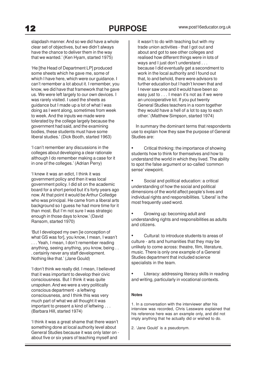slapdash manner. And so we did have a whole clear set of objectives, but we didn't always have the chance to deliver them in the way that we wanted.' (Ken Hyam, started 1975)

'He [the Head of Department LP] produced some sheets which he gave me, some of which I have here, which were our guidance. I can't remember a lot about it. I remember, you know, we did have that framework that he gave us. We were left largely to our own devices. I was rarely visited. I used the sheets as guidance but I made up a lot of what I was doing as I went along, sometimes from week to week. And the inputs we made were tolerated by the college largely because the government had said, and the examining bodies, these students must have some liberal studies.' (Dick Booth, started 1963)

'I can't remember any discussions in the colleges about developing a clear rationale although I do remember making a case for it in one of the colleges.' (Adrian Perry)

'I knew it was an edict, I think it was government policy and then it was local government policy. I did sit on the academic board for a short period but it's forty years ago now. At that point it would be Arthur Colledge who was principal. He came from a liberal arts background so I guess he had more time for it than most. But I'm not sure I was strategic enough in those days to know.' (David Ransom, started 1970)

'But I developed my own [ie conception of what GS was for], you know, I mean, I wasn't . . . Yeah, I mean, I don't remember reading anything, seeing anything, you know, being . . . certainly never any staff development. Nothing like that.' (Jane Gould)

'I don't think we really did. I mean, I believed that it was important to develop their civic consciousness. But I think it was quite unspoken. And we were a very politically conscious department - a leftwing consciousness, and I think this was very much part of what we all thought it was important to present a kind of leftwing . . . (Barbara Hill, started 1974)

'I think it was a great shame that there wasn't something done at local authority level about General Studies because it was only later on about five or six years of teaching myself and

it wasn't to do with teaching but with my trade union activities - that I got out and about and got to see other colleges and realised how different things were in lots of ways and I just don't understand . . . because I did eventually get a secondment to work in the local authority and I found out that, lo and behold, there were advisors to further education but I hadn't known that and I never saw one and it would have been so easy just to . . . I mean it's not as if we were an uncooperative lot. If you put twenty General Studies teachers in a room together they would have a hell of a lot to say to each other.' (Matthew Simpson, started 1974)

 In summary the dominant terms that respondents use to explain how they saw the purpose of General Studies are:

• Critical thinking: the importance of showing students how to think for themselves and how to understand the world in which they lived. The ability to spot the false argument or so-called 'common sense' viewpoint.

• Social and political education: a critical understanding of how the social and political dimensions of the world affect people's lives and individual rights and responsibilities. 'Liberal' is the most frequently used word.

• Growing up: becoming adult and understanding rights and responsibilities as adults and citizens.

• Cultural: to introduce students to areas of culture - arts and humanities that they may be unlikely to come across: theatre, film, literature, music. There is only one example of a General Studies department that included science specialists in the team.

Literacy: addressing literacy skills in reading and writing, particularly in vocational contexts.

#### **Notes**

1. In a conversation with the interviewer after his interview was recorded, Chris Lessware explained that his reference here was an example only, and did not imply anything that he actually did or wished to do.

2. 'Jane Gould' is a pseudonym.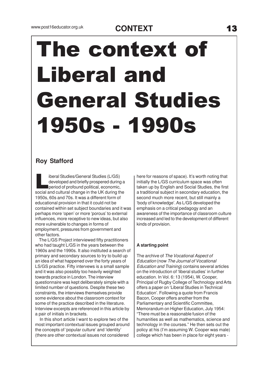# The context of Liberal and General Studies 1950s - 1990s

#### **Roy Stafford**

iberal Studies/General Studies (L/GS)<br>developed and briefly prospered during a<br>period of profound political, economic,<br>social and cultural change in the UK during the iberal Studies/General Studies (L/GS) developed and briefly prospered during a period of profound political, economic, 1950s, 60s and 70s. It was a different form of educational provision in that it could not be contained within set subject boundaries and it was perhaps more 'open' or more 'porous' to external influences, more receptive to new ideas, but also more vulnerable to changes in forms of employment, pressures from government and other factors.

 The L/GS Project interviewed fifty practitioners who had taught L/GS in the years between the 1960s and the 1990s. It also instituted a search of primary and secondary sources to try to build up an idea of what happened over the forty years of LS/GS practice. Fifty intervews is a small sample and it was also possibly too heavily weighted towards practice in London. The interview questionnaire was kept deliberately simple with a limited number of questions. Despite these two constraints, the interviews themselves provide some evidence about the classroom context for some of the practice described in the literature. Interview excerpts are referenced in this article by a pair of initials in brackets.

 In this short article I want to explore two of the most important contextual issues grouped around the concepts of 'popular culture' and 'identity' (there are other contextual issues not considered

here for reasons of space). It's worth noting that initially the L/GS curriculum space was often taken up by English and Social Studies, the first a traditional subject in secondary education, the second much more recent, but still mainly a 'body of knowledge'. As L/GS developed the emphasis on a critical pedagogy and an awareness of the importance of classroom culture increased and led to the development of different kinds of provision.

#### **A starting point**

The archive of The Vocational Aspect of Education (now The Journal of Vocational Education and Training) contains several articles on the introduction of 'liberal studies' in further education. In Vol. 6: 13 (1954), W. Cooper, Principal of Rugby College of Technology and Arts offers a paper on 'Liberal Studies in Technical Education'. Following a quote from Francis Bacon, Cooper offers another from the Parliamentary and Scientific Committee, Memorandum on Higher Education, July 1954: "There must be a reasonable fusion of the humanities as well as mathematics, science and technology in the courses." He then sets out the policy at his (I'm assuming W. Cooper was male) college which has been in place for eight years -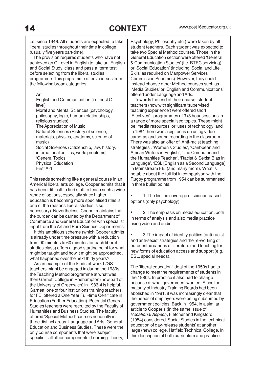i.e. since 1946. All students are expected to take liberal studies throughout their time in college (usually five years part-time).

 The provision requires students who have not achieved an O Level in English to take an 'English and Social Study' class and pass a 'term test' before selecting from the liberal studies programme. This programme offers courses from the following broad categories:

#### Art

English and Communication (i.e. post O level)

Moral and Mental Sciences (psychology, philosophy, logic, human relationships, religious studies)

The Appreciation of Music

Natural Sciences (History of science, materials, physics, anatomy, science of music)

Social Sciences (Citizenship, law, history, international politics, world problems) 'General Topics' Physical Education First Aid

This reads something like a general course in an Americal liberal arts college. Cooper admits that it has been difficult to find staff to teach such a wide range of options, especially since higher education is becoming more specialised (this is one of the reasons liberal studies is so necessary). Nevertheless, Cooper maintains that the burden can be carried by the Department of Commerce and General Education with specialist input from the Art and Pure Science Departments.

 If this ambitious scheme (which Cooper admits is already under time pressure with a reduction from 90 minutes to 60 minutes for each liberal studies class) offers a good starting point for what might be taught and how it might be approached, what happened over the next thirty years?

 As an example of the kinds of work L/GS teachers might be engaged in during the 1980s, the Teaching Method programme at what was then Garnett College in Roehampton (now part of the University of Greenwich) in 1983-4 is helpful. Garnett, one of four institutions training teachers for FE, offered a One Year Full-time Certificate in Education (Further Education). Potential General Studies teachers were recruited by the Faculty of Humanities and Business Studies. The faculty offered 'Special Method' courses notionally in three distinct areas: Language and Arts, General Education and Business Studies. These were the only course components that were 'subject specific' - all other components (Learning Theory,

Psychology, Philosophy etc.) were taken by all student teachers. Each student was expected to take two Special Method courses. Those in the General Education section were offered 'General & Communication Studies' (i.e. BTEC servicing) or 'Social Education' (including 'Social and Life Sklls' as required on Manpower Services Commission Schemes). However, they could instead choose other Method courses such as 'Media Studies' or 'English and Communications' offered under Language and Arts.

 Towards the end of their course, student teachers (now with significant 'supervised teaching experience') were offered short 'Electives' - programmes of 3x3 hour sessions in a range of more specialised topics. These might be 'media resources' or 'uses of technology' and in 1984 there was a big focus on using video cameras and sound recording in the classroom. There was also an offer of 'Anti-racist teaching strategies', 'Women's Studies', 'Caribbean and African Writers in English', 'The Computer and the Humanities Teacher', 'Racist & Sexist Bias in Language', 'ESL [English as a Second Language] in Mainstream FE' (and many more). What is notable about the full list in comparison with the Rugby programme from 1954 can be summarised in three bullet points:

• 1. The limited coverage of science-based options (only psychology)

• 2. The emphasis on media education, both in terms of analysis and also media practice using video and audio

• 3 The impact of identity politics (anti-racist and anti-sexist strategies and the re-working of eurocentric canons of literature) and teaching for new forms of education access and support (e.g. ESL, special needs).

The 'liberal education' ideal of the 1950s had to change to meet the requirements of students in the 1980s. In practice it also had to change because of what government wanted. Since the majority of Industry Training Boards had been abolished in 1981, it was increasingly clear that the needs of employers were being subsumed by government policies. Back in 1954, in a similar article to Cooper's (in the same issue of Vocational Aspect), Fletcher and Kingsford (1954) considered 'Social Studies in the technical education of day-release students' at another large (new) college, Hatfield Technical College. In this description of both curriculum and practice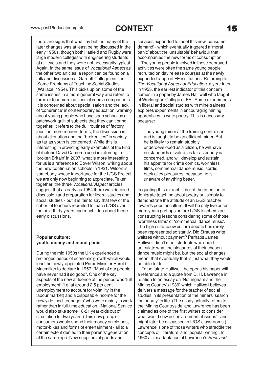there are signs that what lay behind many of the later changes was at least being discussed in the early 1950s, though both Hatfield and Rugby were large modern colleges with engineering students at all levels and they were not necessarily typical. Again, in the same issue of Vocational Aspect as the other two articles, a report can be found on a talk and discussion at Garnett College entitled 'Some Problems of Teaching Social Studies' (Wallace, 1954). This picks up on some of the same issues in a more general way and refers to three or four more outlines of course components. It is concerned about specialisation and the lack of 'coherence' in contemporary education, warning about young people who have seen school as a patchwork quilt of subjects that they can't bring together. It refers to the dull routines of factory jobs - in more modern terms, the discussion is about alienation and the "broken ties" in society as far as youth is concerned. While this is interesting in providing early examples of the kind of rhetoric David Cameron used in referring to 'broken Britain' in 2007, what is more interesting for us is a reference to Dover Wilson, writing about the new continuation schools in 1921. Wilson is somebody whose importance for the L/GS Project we are only now beginning to appreciate. Taken together, the three Vocational Aspect articles suggest that as early as 1954 there was detailed discussion and preparation for liberal studies and social studies - but it is fair to say that few of the cohort of teachers recruited to teach L/GS over the next thirty years had much idea about these early discussions.

#### **Popular culture: youth, money and moral panic**

During the mid 1950s the UK experienced a prolonged period of economic growth which would lead the newly-appointed Prime Minister Harold Macmillan to declare in 1957, "Most of our people have never had it so good". One of the key aspects of the new affluence of the period was 'full employment' (i.e. at around 2.5 per cent unemployment to account for volatility in the labour market) and a disposable income for the newly defined 'teenagers' who were mainly in work rather than in full-time education. (National Service would also take some 18-21 year-olds out of circulation for two years.) This new group of consumers would spend their money on clothes, motor-bikes and forms of entertainment - all to a certain extent denied to their parents' generation at the same age. New suppliers of goods and

services expanded to meet this new 'consumer demand' - which eventually triggered a 'moral panic' about the 'unsuitable' behaviour that accompanied the new forms of consumption.

 The young people involved in these depraved activities were often the same young people recruited on day release courses at the newly expanded range of FE institutions. Returning to The Vocational Aspect of Education, a year later in 1955, the earliest indicator of this concern comes in a paper by James Halliwell who taught at Workington College of FE. 'Some experiments in liberal and social studies with mine trainees' explores experiments in encouraging mining apprentices to write poetry. This is necessary because:

The young miner at the training centre can and is taught to be an efficient miner. But he is likely to remain stupidly underdeveloped as a citizen, he will have no standards of value, as far as beauty is concerned, and will develop and sustain his appetite for crime comics, worthless films, commercial dance music, sordid back alley pleasures, because he is unaware of anything better.

In quoting this extract, it is not the intention to denigrate teaching about poetry but simply to demonstrate the attitude of an L/GS teacher towards popular culture. It will be only five or ten more years perhaps before L/GS teachers are constructing lessons considering some of those 'worthless films' or 'commercial dance music'. The high culture/low culture debate has rarely been represented so starkly. Did Strauss write waltzes without payment? Perhaps James Halliwell didn't meet students who could articulate what the pleasures of their chosen dance music might be, but the social changes meant that eventually that is just what they would be able to do.

 To be fair to Halliwell, he opens his paper with a reference and a quote from D. H. Lawrence in relation to an essay on 'Nottingham and the Mining Country' (1930) which Halliwell believes delivers a message for the teacher of social studies in its presentation of the miners' search for 'beauty' in life. (The essay actually refers to the 'Mining Countryside' and Lawrence has been claimed as one of the first writers to consider what would now be 'environmental issues' - and might later be discussed in L/GS classrooms.) Lawrence is one of those writers who straddle the concepts of 'literature' and 'popular writing'. In 1960 a film adaptation of Lawrence's Sons and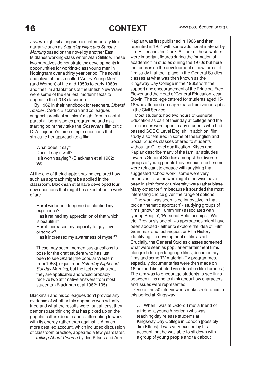Lovers might sit alongside a contemporary film narrative such as Saturday Night and Sunday Morning based on the novel by another East Midlands working-class writer, Alan Sillitoe. These two narratives demonstrate the developments in opportunities for working-class young men in Nottingham over a thirty year period. The novels and plays of the so-called 'Angry Young Men' (and Women) of the mid 1950s to early 1960s and the film adaptations of the British New Wave were some of the earliest 'modern' texts to appear in the L/GS classroom.

 By 1962 in their handbook for teachers, Liberal Studies, Cedric Blackman and colleagues suggest 'practical criticism' might form a useful part of a liberal studies programme and as a starting point they take the Observer's film critic C. A. Lejeune's three simple questions that structure her approach to a film.

What does it say? Does it say it well? Is it worth saying? (Blackman et al 1962: 99)

At the end of their chapter, having explored how such an approach might be applied in the classroom, Blackman et al have developed four new questions that might be asked about a work of art:

Has it widened, deepened or clarified my experience?

Has it refined my appreciation of that which is beautiful?

Has it increased my capacity for joy, love or sorrow?

Has it increased my awareness of myself?

These may seem momentous questions to pose for the craft student who has just been to see Shane [the popular Western from 1953], or just read Saturday Night and Sunday Morning, but the fact remains that they are applicable and would probably receive two affirmative answers from most students. (Blackman et al 1962: 105)

Blackman and his colleagues don't provide any evidence of whether this approach was actually tried and what the results were, but at least they demonstrate thinking that has picked up on the popular culture debate and is attempting to work with its energy rather than against it. A much more detailed account, which included discussion of classroom practice, appeared a few years later. Talking About Cinema by Jim Kitses and Ann

Kaplan was first published in 1966 and then reprinted in 1974 with some additional material by Jim Hillier and Jim Cook. All four of these writers were important figures during the formation of academic film studies during the 1970s but here the focus is on the development of new forms of film study that took place in the General Studies classes at what was then known as the Kingsway Day College in the 1960s with the support and encouragement of the Principal Fred Flower and the Head of General Education, Jean Stovin. The college catered for students aged 15- 18 who attended on day release from various jobs in the Civil Service.

 Most students had two hours of General Education as part of their day at college and the film classes were open to any students who had passed GCE O Level English. In addition, film study also featured in some of the English and Social Studies classes offered to students without an O Level qualification. Kitses and Kaplan describe many of the familiar attitudes towards General Studies amongst the diverse groups of young people they encountered - some were reluctant to engage with anything that suggested 'school work', some were very enthusiastic, some who might otherwise have been in sixth form or university were rather blase. Many opted for film because it sounded the most interesting choice given the range of options.

 The work was seen to be innovative in that it took a 'thematic approach' - studying groups of films (shown on 16mm film) associated with 'young People', 'Personal Relationships', 'War' etc. Previously one of two approaches might have been adopted - either to explore the idea of 'Film Grammar' and techniques, or Film History, identifying the development of film as art. Crucially, the General Studies classes screened what were seen as popular entertainment films alongside foreign language films, documentary films and some TV material (TV programmes, especially documentaries were then made on 16mm and distributed via education film libraries.) The aim was to encourage students to see links between films and to think about how characters and issues were represented.

 One of the 50 interviewees makes reference to this period at Kingsway:

. . . When I was at Oxford I met a friend of a friend, a young American who was teaching day release students at Kingsway Day College in London [possibly Jim KItses]. I was very excited by his account that he was able to sit down with a group of young people and talk about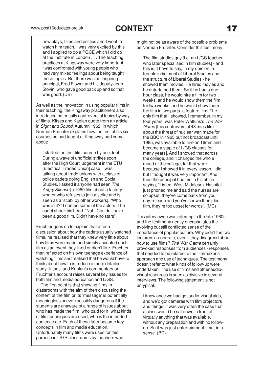new plays, films and politics and I went to watch him teach. I was very excited by this and I applied to do a PGCE which I did do at the Institute in London . . . The teaching practices at Kingsway were very important. I was confronted with young people who had very mixed feelings about being taught these topics. But there was an inspiring principal, Fred Flower and his deputy Jean Stovin, who gave good back up and so that was good. (DB)

As well as the innovation in using popular films in their teaching, the Kingsway practitioners also introduced potentially controversial topics by way of films. Kitses and Kaplan quote from an article in Sight and Sound, Autumn 1962, in which Norman Fruchter explains how the first of his six courses he had taught at Kingsway had come about:

I started the first film course by accident. During a wave of unofficial strikes soon after the High Court judgement in the ETU [Electrical Trades Union] case, I was talking about trade unions with a class of police cadets doing English and Social Studies. I asked if anyone had seen The Angry Silence [a 1960 film about a factory worker who refuses to join a strike and is seen as a 'scab' by other workers]. "Who was in it?" I named some of the actors. The cadet shook his head. "Nah. Couldn't have been a good film. Didn't have no stars".

Fruchter goes on to explain that after a discussion about how the cadets usually watched films, he realised that they knew very little about how films were made and simply accepted each film as an event they liked or didn't like. Fruchter then reflected on his own teenage experience of watching films and realised that he would have to think about how to introduce a more detailed study. Kitses' and Kaplan's commentary on Fruchter's account raises several key issues for both film and media education and L/GS.

 The first point is that showing films in classrooms with the aim of then discussing the content of the film or its 'message' is potentially meaningless or even possibly dangerous if the students are unaware of a range of issues about who has made the film, who paid for it, what kinds of film techniques are used, who is the intended audience etc. Each of these later became key concepts in film and media education. Unfortunately many films were used for this purpose in L/GS classrooms by teachers who

might not be as aware of the possible problems as Norman Fruchter. Consider this testimony:

The film studies guy [i.e. an L/GS teacher who later specialised in film studies] - and this is, I have to say, in my opinion, a terrible indictment of Liberal Studies and the structure of Liberal Studies - he showed them movies. He hired movies and he entertained them. So if he had a onehour class, he would hire a film for two weeks, and he would show them the film for two weeks, and he would show them the film in two parts, a feature film. The only film that I showed, I remember, in my four years, was Peter Watkins's The War Game [this controversial 48 mins film about the threat of nuclear war, made for the BBC in 1965 but not broadcast until 1985, was available to hire on 16mm and became a staple of L/GS classes for many years]. And I showed that across the college, and it changed the whole mood of the college, for that week. because I showed it in every lesson, I did, but I thought it was very important. And then the principal had me in his office saying, "Listen, West Middlesex Hospital just phoned me and said the nurses are so upset, they've come back from your day-release and you've shown them this film, they're too upset for words". (MC)

This interviewee was referring to the late 1960s and the testimony neatly encapsulates the evolving but still conflicted sense of the importance of popular culture. Why didn't the two lecturers co-operate, even if they disagreed about how to use films? The War Game certainly provoked responses from audiences - responses that needed to be related to the filmmaker's approach and use of techniques. The testimony doesn't refer to what kinds of follow-up were undertaken. The use of films and other audiovisual resources is seen as divisive in several interviews. The following statement is not untypical:

I know once we had got audio-visual aids, and we'd got cameras with film projectors and things, it was very often the case that a class would be sat down in front of virtually anything that was available, without any preparation and with no followup. So it was just entertainment time, in a sense. (BD)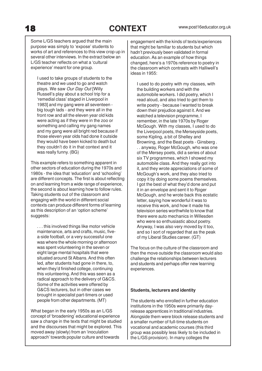Some L/GS teachers argued that the main purpose was simply to 'expose' students to works of art and references to this view crop up in several other interviews. In the extract below an L/GS teacher reflects on what a 'cultural experience' meant for one group.

I used to take groups of students to the theatre and we used to go and watch plays. We saw Our Day Out [Willy Russell's play about a school trip for a 'remedial class' staged in Liverpool in 1983] and my gang were all seventeen big tough lads - and they were all in the front row and all the eleven year old kids were acting as if they were in the zoo or something and calling my gang names and my gang were all bright red because if those eleven year olds had done it outside they would have been kicked to death but they couldn't do it in that context and it was really funny. (BG)

This example refers to something apparent in other sectors of education during the 1970s and 1980s - the idea that 'education' and 'schooling' are different concepts. The first is about reflecting on and learning from a wide range of experience, the second is about learning how to follow rules. Taking students out of the classroom and engaging with the world in different social contexts can produce different forms of learning as this description of an 'option scheme' suggests:

. . . this involved things like motor vehicle maintenance, arts and crafts, music, fivea-side football, or a very successful one was where the whole morning or afternoon was spent volunteering in the seven or eight large mental hospitals that were situated around St Albans. And this often led, after students had gone in there, to, when they'd finished college, continuing this volunteering. And this was seen as a radical approach to the delivery of G&CS. Some of the activities were offered by G&CS lecturers, but in other cases we brought in specialist part-timers or used people from other departments. (MT)

What began in the early 1950s as an L/GS concept of 'broadening' educational experience saw a change in the texts that might be studied and the discourses that might be explored. This moved away (slowly) from an 'inoculation approach' towards popular culture and towards

engagement with the kinds of texts/experiences that might be familiar to students but which hadn't previously been validated in formal education. As an example of how things changed, here's a 1970s reference to poetry in the classroom which contrasts with Halliwell's ideas in 1955:

I used to do poetry with my classes, with the building workers and with the automobile workers. I did poetry, which I read aloud, and also tried to get them to write poetry - because I wanted to break down their prejudice against it. And we watched a television programme, I remember, in the late 1970s by Roger McGough. With my classes, I used to do the Liverpool poets, the Merseyside poets, some Kipling, a bit of Shelley and Browning, and the Beat poets - Ginsberg . . . anyway, Roger McGough, who was one of the Mersey poets, did a series of about six TV programmes, which I showed my automobile class. And they really got into it, and they wrote appreciations of some of McGough's work, and they also tried to copy it by doing some poems themselves. I got the best of what they'd done and put it in an envelope and sent it to Roger McGough, and he wrote back this ecstatic letter, saying how wonderful it was to receive this work, and how it made his television series worthwhile to know that there were auto mechanics in Willesden who were so enthusiastic about poetry. Anyway, I was also very moved by it too, and so I sort of regarded that as the peak of my Liberal Studies career. (GT)

The focus on the culture of the classroom and then the move outside the classroom would also challenge the relationships between lecturers and students and perhaps offer new learning experiences.

#### **Students, lecturers and identity**

The students who enrolled in further education institutions in the 1950s were primarily dayrelease apprentices in traditional industries. Alongside them were block release students and a smaller number of full-time students on vocational and academic courses (this third group was possibly less likely to be included in the L/GS provision). In many colleges the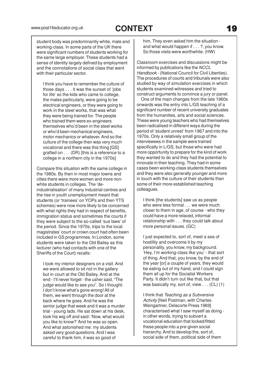student body was predominantly white, male and working-class. In some parts of the UK there were significant numbers of students working for the same large employer. These students had a sense of identity largely defined by employment and the connotations of social class that went with their particular sector.

I think you have to remember the culture of those days . . . it was the sunset of 'jobs for life' so the kids who came to college, the males particularly, were going to be electrical engineers, or they were going to work in the steel works, that was what they were being trained for. The people who trained them were ex-engineers themselves who'd been in the steel works or who'd been mechanical engineers, motor mechanics or whatever. And so the culture of the college then was very much vocational and there was this thing [GS] grafted on . . . (DR) [this is a reference to a college in a northern city in the 1970s]

Compare this situation with the same college in the 1980s. By then in most major towns and cities there were more women and more nonwhite students in colleges. The 'deindustrialisation' of many industrial centres and the rise in youth unemployment meant that students (or 'trainees' on YOPs and then YTS schemes) were now more likely to be concerned with what rights they had in respect of benefits, immigration status and sometimes the courts if they were subject to the so-called 'sus laws' of the period. Since the 1970s, trips to the local magistrates' court or crown court had often been included in GS programmes. In London, some students were taken to the Old Bailey as this lecturer (who had contacts with one of the Sheriffs of the Court) recalls:

I took my interior designers on a visit. And we were allowed to sit not in the gallery but in court at the Old Bailey. And at the end - I'll never forget - the usher said, "The judge would like to see you". So I thought: I don't know what's gone wrong! All of them, we went through the door at the back where he goes. And he was the senior judge that week and it was a murder trial - young lads. He sat down at his desk, took his wig off and said: 'Now, what would you like to know?'And he was so open. And what astonished me: my students asked very good questions. And I was careful to thank him, it was so good of

him. They even asked him the situation and what would happen if . . . ?, you know. So those visits were worthwhile. (HW)

Classroom exercises and discussions might be informed by publications like the NCCL Handbook - (National Council for Civil Liberties). The procedures of courts and tribunals were also studied by way of simulation exercises in which students examined witnesses and tried to construct arguments to convince a jury or panel.

 One of the main changes from the late 1960s onwards was the entry into L/GS teaching of a significant number of recent university graduates from the humanities, arts and social sciences. These were young teachers who had themselves been radicalised in different ways during the period of 'student unrest' from 1967 and into the 1970s. Only a relatively small group of the interviewees in the sample were trained specifically in L/GS, but those who were had more opportunity to prepare for the kind of work they wanted to do and they had the potential to innovate in their teaching. They had in some cases been working-class students themselves and they were also generally younger and more in touch with the culture of their students than some of their more established teaching colleagues.

I think [the students] saw us as people who were less formal . . . we were much closer to them in age, of course - who they could have a more relaxed, informal relationship with . . . they could talk about more personal issues. (GC)

I just expected to, sort of, meet a sea of hostility and overcome it by my personality, you know, my background. 'Hey, I'm working-class like you' - that sort of thing. And that, you know, by the end of the year [or] a couple of years, they would be eating out of my hand, and I could sign them all up for the Socialist Workers Party. It didn't turn out like that, but that was basically my, sort of, view . . . (CL) (1)

I think that Teaching as a Subversive Activity [Neil Postman, with Charles Weingartner, Delacorte Press 1969] characterised what I saw myself as doing in other words, trying to subvert a vocational education that locked/fitted these people into a pre-given social hierarchy. And to develop the, sort of, social side of them, political side of them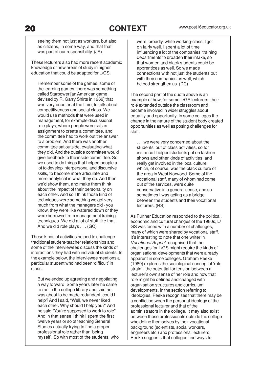seeing them not just as workers, but also as citizens, in some way, and that that was part of our responsibility. (JS)

These lecturers also had more recent academic knowledge of new areas of study in higher education that could be adapted for L/GS.

I remember some of the games, some of the learning games, there was something called Starpower [an American game devised by R. Garry Shirts in 1969] that was very popular at the time, to talk about competitiveness and social class. We would use methods that were used in management, for example discussional role plays, where people were set an assignment to create a committee, and the committee had to work out the answer to a problem. And there was another committee sat outside, evaluating what they did. And the outside committee would give feedback to the inside committee. So we used to do things that helped people a lot to develop interpersonal and discursive skills, to become more articulate and more analytical in what they do. And then we'd show them, and make them think about the impact of their personality on each other. And so I think those kind of techniques were something we got very much from what the managers did - you know, they were like watered down or they were borrowed from management training techniques. We did a lot of stuff like that. And we did role plays . . . (GC)

These kinds of activities helped to challenge traditional student-teacher relationships and some of the interviewees discuss the kinds of interactions they had with individual students. In the example below, the interviewee mentions a particular student who had been 'difficult' in class:

But we ended up agreeing and negotiating a way forward. Some years later he came to me in the college library and said he was about to be made redundant, could I help? And I said, "Well, we never liked each other. Why should I help you?" And he said "You're supposed to work to role". And in that sense I think I spent the first twelve years or so of teaching General Studies actually trying to find a proper professional role rather than 'being myself'. So with most of the students, who

were, broadly, white working-class, I got on fairly well. I spent a lot of time influencing a lot of the companies' training departments to broaden their intake, so that women and black students could be apprentices as well. So we made connections with not just the students but with their companies as well, which helped strengthen us. (DC)

The second part of the quote above is an example of how, for some L/GS lecturers, their role extended outside the classroom and became involved in wider struggles about equality and opportunity. In some colleges the change in the nature of the student body created opportunities as well as posing challenges for staff:

. . . we were very concerned about the students' out of class activities, so for instance I helped students put on fashion shows and other kinds of activities, and really get involved in the local culture which, of course, was the black culture of the area in West Norwood. Some of the vocational staff, many of whom had come out of the services, were quite conservative in a general sense, and so sometimes I was acting as a bridge between the students and their vocational lecturers. (RS)

As Further Education responded to the political, economic and cultural changes of the 1980s, L/ GS was faced with a number of challenges, many of which were shared by vocational staff. It's interesting to note that one writer in Vocational Aspect recognised that the challenges for L/GS might require the kinds of organisational developments that were already apparent in some colleges. Graham Peeke (1980) explores the sociological concept of 'role strain' - the potential for tension between a lecturer's own sense of her role and how that role might be defined and changed with organisation structures and curriculum developments. In the section referring to ideologies, Peeke recognises that there may be a conflict between the personal ideology of the professional lecturer and that of the administrators in the college. It may also exist between those professionals outside the college who define themselves by their vocational background (scientists, social workers, engineers etc.) and professional lecturers. Peeke suggests that colleges find ways to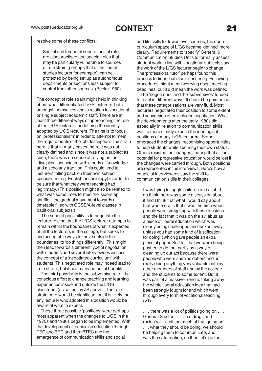resolve some of these conflicts:

Spatial and temporal separations of roles are also practised and special roles that may be particularly vulnerable to sources of role strain (perhaps that of the liberal studies lecturer for example), can be protected by being set up as autonomous departments or sections less subject to control from other sources. (Peeke 1980)

The concept of role strain might help in thinking about what differentiated L/GS lecturers, both amongst themselves and in relation to vocational or single subject academic staff. There are at least three different ways of approaching the role of the L/GS lecturer - or defining the identity adopted by L/GS lecturers. The first is to focus on 'professionalism' in order to attempt to meet the requirements of the job description. The strain here is that in many cases the role was not clearly defined and since it was not a subject as such, there was no sense of relying on the 'discipline' associated with a body of knowledge and a scholarly tradition. This could lead to lecturers falling back on their own subject specialism (e.g. English or sociology) in order to be sure that what they were teaching had legitimacy. (This position might also be related to what was sometimes termed the 'side-step shuffle' - the gradual movement towards a timetable filled with GCSE/A-level classes in traditional subjects.)

 The second possibility is to negotiate the lecturer role so that the L/GS lecturer attempts to remain within the boundaries of what is expected of all the lecturers in the college, but seeks to find acceptable ways to move outside the boundaries, to 'do things differently'. This might then lead towards a different type of negotiation with students and several interviewees discuss the concept of a 'negotiated curriculum' with students. This negotiated role may indeed lead to 'role strain', but it has many potential benefits.

 The third possibility is the subversive role - the conscious effort to change teaching and learning experiences inside and outside the L/GS classroom (as set out by JS above). The role strain here would be significant but it is likely that any lecturer who adopted this position would be aware of what to expect.

 These three possible 'positions' were perhaps most apparent when the changes to L/GS in the 1970s and 1980s began to be implemented. With the development of technician education through TEC and BEC and then BTEC and the emergence of communication skills and social

and life skills for lower level courses, the open curriculum space of L/GS became 'defined' more clearly. Requirements to 'specify' General & Communication Studies Units to formally assess student work in line with vocational subjects saw the work of the L/GS lecturer begin to change. The 'professional tutor' perhaps found this process tedious, but also re-assuring. Following procedures might mean worrying about meeting deadlines, but it did mean the work was defined.

 The 'negotiators' and the 'subversives' tended to react in different ways. It should be pointed out that these categorisations are very fluid. Most lecturers negotiated their position to some extent and subversion often included negotiation. What the developments after the early 1980s did, especially in relation to communication skills, was to more clearly expose the ideological positions of many L/GS lecturers. Some embraced the changes, recognising opportunities to help students while securing their own status. Others resisted the changes, fearing that all the potential for progressive education would be lost if the changes were carried through. Both positions are represented in the interviews. Here's how a couple of interviewees saw the shift to communication skills in their colleges:

I was trying to juggle children and a job. I do think there was some discussion about it and I think that what I would say about that whole era is that it was the time when people were struggling with those tensions and the fact that it was on the syllabus as a piece of liberal education which was clearly being challenged and tucked away unless you had some kind of justification for doing it which gave people an extra piece of paper. So I felt that we were being pushed to do that partly as a way of cleaning up our act because there were people who were seen as doffers and not really doing anything very valuable both by other members of staff and by the college and the students to some extent. But it was part of a massive trend to taking away the whole liberal education idea that had been strongly fought for and which went through every form of vocational teaching. (VT)

. . . there was a lot of politics going on . . . General Studies . . . 'sex, drugs and rock'n'roll - a bit too much of that going on' . . . what they should be doing, we should be helping them to communicate, and it was the safer option, so then let's go for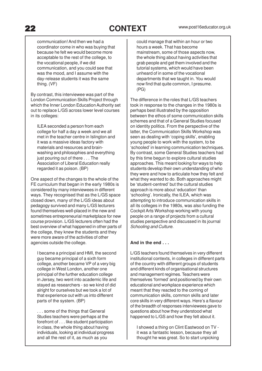communication! And then we had a coordinator come in who was buying that because he felt we would become more acceptable to the rest of the college, to the vocational people, if we did communication, and you could see that was the mood, and I assume with the day-release students it was the same thing. (VF)

By contrast, this interviewee was part of the London Communication Skills Project through which the Inner London Education Authority set out to replace L/GS across lower level courses in its colleges:

ILEA seconded a person from each college for half a day a week and we all met in the teacher centre in Islington and it was a massive ideas factory with materials and resources and brainwashing and philosophies and everything just pouring out of there . . . The Association of Liberal Education really regarded it as poison. (BP)

One aspect of the changes to the whole of the FE curriculum that began in the early 1980s is considered by many interviewees in different ways. They recognised that as the L/GS space closed down, many of the L/GS ideas about pedagogy survived and many L/GS lecturers found themselves well-placed in the new and sometimes entrepreneurial marketplace for new course provision. L/GS lecturers often had the best overview of what happened in other parts of the college, they knew the students and they were more aware of the activities of other agencies outside the college.

I became a principal and HMI, the second guy became principal of a sixth form college, another became VP of a very big college in West London, another one principal of the further education college in Jersey, two went into academic life and stayed as researchers - so we kind of did alright for ourselves but we took a lot of that experience out with us into different parts of the system. (BP)

. . . some of the things that General Studies teachers were perhaps at the forefront of . . . like student participation in class, the whole thing about having individuals, looking at individual progress and all the rest of it, as much as you

could manage that within an hour or two hours a week. That has become mainstream, some of those aspects now, the whole thing about having activities that grab people and get them involved and the tutorial systems, which would have been unheard of in some of the vocational departments that we taught in. You would now find that quite common, I presume. (PG)

The difference in the roles that L/GS teachers took in response to the changes in the 1980s is perhaps best illustrated by the opposition between the ethos of some communication skills schemes and that of a General Studies focused on identity politics. From the perspective of the latter, the Communication Skills Workshop was seen as dealing with 'coping skills', enabling young people to work with the system, to be 'schooled' in learning communication techniques. By contrast, some General Studies teachers had by this time begun to explore cultural studies approaches. This meant looking for ways to help students develop their own understanding of who they were and how to articulate how they felt and what they wanted to do. Both approaches might be 'student-centred' but the cultural studies approach is more about 'education' than 'schooling'. Ironically, the ILEA, which was attempting to introduce communication skills in all its colleges in the 1980s, was also funding the Cockpit Arts Workshop working with young people on a range of projects from a cultural studies perspective and discussed in its journal Schooling and Culture.

#### **And in the end . . .**

L/GS teachers found themselves in very different institutional contexts, in colleges in different parts of the country with different groups of students and different kinds of organisational structures and management regimes. Teachers were themselves 'formed' and positioned by their own educational and workplace experience which meant that they reacted to the coming of communication skills, common skills and later core skills in very different ways. Here's a flavour of the breadth of responses interviewees gave to questions about how they understood what happened to L/GS and how they felt about it.

I showed a thing on Clint Eastwood on TV it was a fantastic lesson, because they all thought he was great. So to start unpicking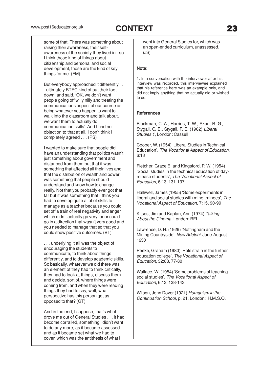some of that. There was something about raising their awareness, their selfawareness of the society they lived in - so I think those kind of things about citizenship and personal and social development, those are the kind of key things for me. (FM)

But everybody approached it differently . . . ultimately BTEC kind of put their foot down, and said, 'OK, we don't want people going off willy nilly and treating the communications aspect of our course as being whatever you happen to want to walk into the classroom and talk about, we want them to actually do communication skills'. And I had no objection to that at all. I don't think I completely agreed . . . (PS)

I wanted to make sure that people did have an understanding that politics wasn't just something about government and distanced from them but that it was something that affected all their lives and that the distribution of wealth and power was something that people should understand and know how to change really. Not that you probably ever got that far but it was something that I think you had to develop quite a lot of skills to manage as a teacher because you could set off a train of real negativity and anger which didn't actually go very far or could go in a direction that wasn't very good and you needed to manage that so that you could show positive outcomes. (VT)

. . . underlying it all was the object of encouraging the students to communicate, to think about things differently, and to develop academic skills. So basically, whatever we did there was an element of they had to think critically, they had to look at things, discuss them and decide, sort of, where things were coming from, and when they were reading things they had to say, well, what perspective has this person got as opposed to that? (GT)

And in the end, I suppose, that's what drove me out of General Studies . . . it had become corralled, something I didn't want to do any more, as it became assessed and as it became set what we had to cover, which was the antithesis of what I

went into General Studies for, which was an open-ended curriculum, unassessed. (JS)

#### **Note:**

1. In a conversation with the interviewer after his interview was recorded, this interviewee explained that his reference here was an example only, and did not imply anything that he actually did or wished to do.

#### **References**

Blackman, C. A., Harries, T. W., Skan, R. G., Stygall, G. E., Stygall, F. E. (1962) Liberal Studies 1, London: Cassell

Cooper, W. (1954) 'Liberal Studies in Technical Education', The Vocational Aspect of Education, 6:13

Fletcher, Grace E. and Kingsford, P. W. (1954) 'Social studies in the technical education of dayrelease students', The Vocational Aspect of Education, 6:13, 131-137

Halliwell, James (1955) 'Some experiments in liberal and social studies with mine trainees', The Vocational Aspect of Education, 7:15, 90-99

Kitses, Jim and Kaplan, Ann (1974) Talking About the Cinema, London: BFI

Lawrence, D. H. (1929) 'Nottingham and the Mining Countryside', New Adelphi, June-August 1930

Peeke, Graham (1980) 'Role strain in the further education college', The Vocational Aspect of Education, 32:83, 77-80

Wallace, W. (1954) 'Some problems of teaching social studies', The Vocational Aspect of Education, 6:13, 138-143

Wilson, John Dover (1921) Humanism in the Continuation School, p. 21. London: H.M.S.O.